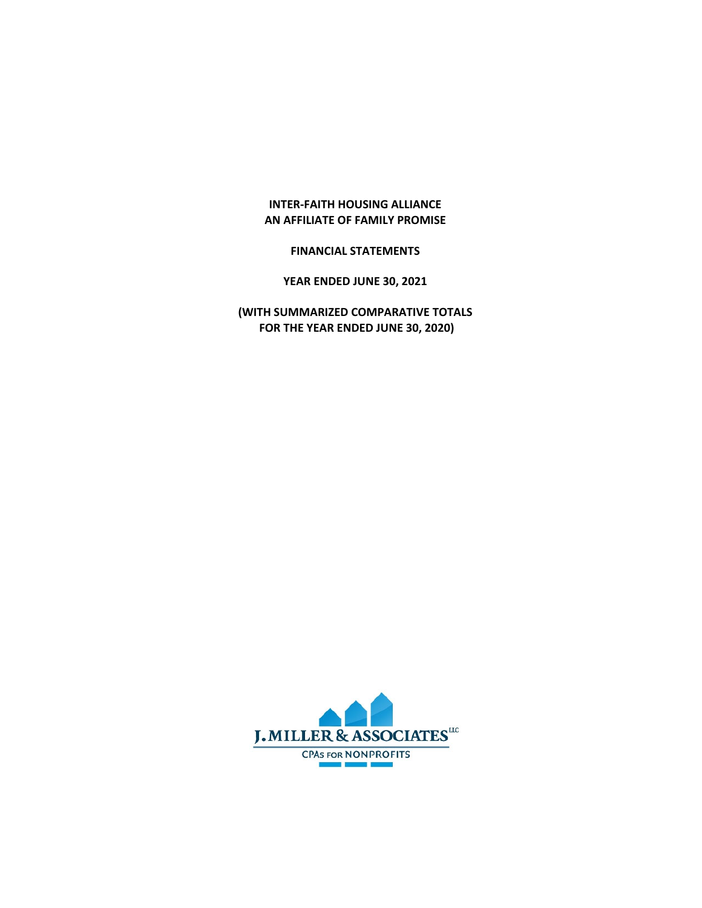## **INTER‐FAITH HOUSING ALLIANCE AN AFFILIATE OF FAMILY PROMISE**

### **FINANCIAL STATEMENTS**

**YEAR ENDED JUNE 30, 2021** 

**(WITH SUMMARIZED COMPARATIVE TOTALS FOR THE YEAR ENDED JUNE 30, 2020)**

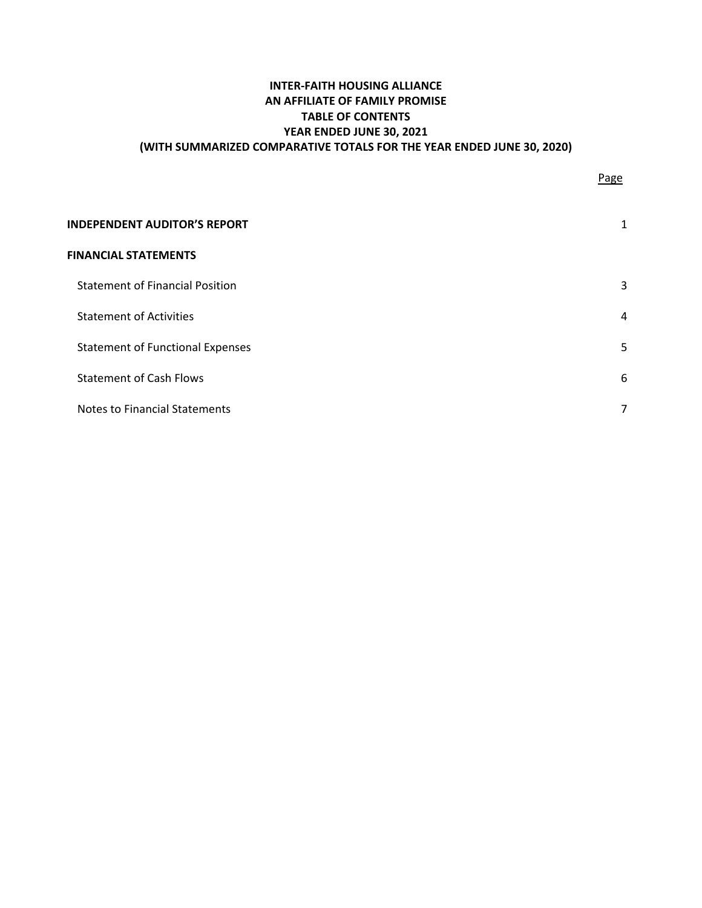## **INTER‐FAITH HOUSING ALLIANCE AN AFFILIATE OF FAMILY PROMISE TABLE OF CONTENTS YEAR ENDED JUNE 30, 2021 (WITH SUMMARIZED COMPARATIVE TOTALS FOR THE YEAR ENDED JUNE 30, 2020)**

**Page Page** 

| <b>INDEPENDENT AUDITOR'S REPORT</b>     |   |
|-----------------------------------------|---|
| <b>FINANCIAL STATEMENTS</b>             |   |
| <b>Statement of Financial Position</b>  | 3 |
| <b>Statement of Activities</b>          | 4 |
| <b>Statement of Functional Expenses</b> | 5 |
| <b>Statement of Cash Flows</b>          | 6 |
| Notes to Financial Statements           |   |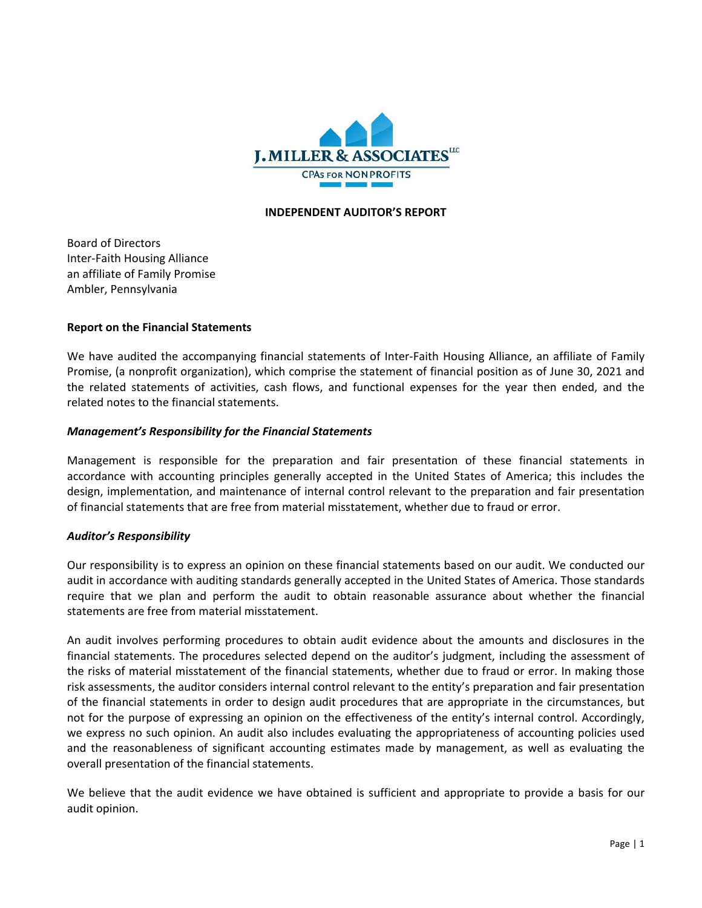

### **INDEPENDENT AUDITOR'S REPORT**

Board of Directors Inter‐Faith Housing Alliance an affiliate of Family Promise Ambler, Pennsylvania

### **Report on the Financial Statements**

We have audited the accompanying financial statements of Inter-Faith Housing Alliance, an affiliate of Family Promise, (a nonprofit organization), which comprise the statement of financial position as of June 30, 2021 and the related statements of activities, cash flows, and functional expenses for the year then ended, and the related notes to the financial statements.

### *Management's Responsibility for the Financial Statements*

Management is responsible for the preparation and fair presentation of these financial statements in accordance with accounting principles generally accepted in the United States of America; this includes the design, implementation, and maintenance of internal control relevant to the preparation and fair presentation of financial statements that are free from material misstatement, whether due to fraud or error.

### *Auditor's Responsibility*

Our responsibility is to express an opinion on these financial statements based on our audit. We conducted our audit in accordance with auditing standards generally accepted in the United States of America. Those standards require that we plan and perform the audit to obtain reasonable assurance about whether the financial statements are free from material misstatement.

An audit involves performing procedures to obtain audit evidence about the amounts and disclosures in the financial statements. The procedures selected depend on the auditor's judgment, including the assessment of the risks of material misstatement of the financial statements, whether due to fraud or error. In making those risk assessments, the auditor considers internal control relevant to the entity's preparation and fair presentation of the financial statements in order to design audit procedures that are appropriate in the circumstances, but not for the purpose of expressing an opinion on the effectiveness of the entity's internal control. Accordingly, we express no such opinion. An audit also includes evaluating the appropriateness of accounting policies used and the reasonableness of significant accounting estimates made by management, as well as evaluating the overall presentation of the financial statements.

We believe that the audit evidence we have obtained is sufficient and appropriate to provide a basis for our audit opinion.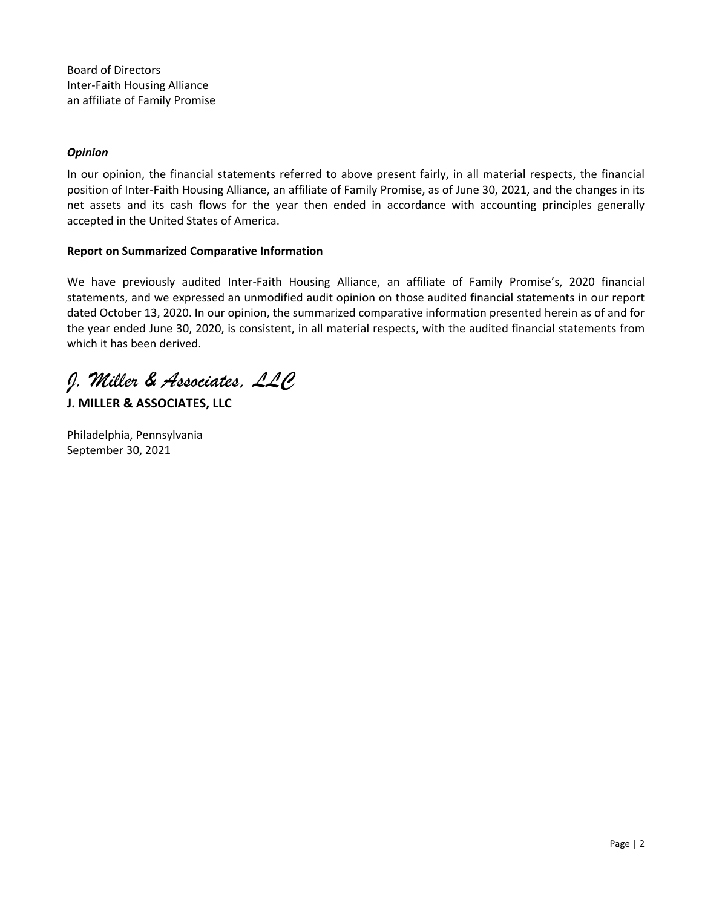Board of Directors Inter‐Faith Housing Alliance an affiliate of Family Promise

### *Opinion*

In our opinion, the financial statements referred to above present fairly, in all material respects, the financial position of Inter‐Faith Housing Alliance, an affiliate of Family Promise, as of June 30, 2021, and the changes in its net assets and its cash flows for the year then ended in accordance with accounting principles generally accepted in the United States of America.

### **Report on Summarized Comparative Information**

We have previously audited Inter-Faith Housing Alliance, an affiliate of Family Promise's, 2020 financial statements, and we expressed an unmodified audit opinion on those audited financial statements in our report dated October 13, 2020. In our opinion, the summarized comparative information presented herein as of and for the year ended June 30, 2020, is consistent, in all material respects, with the audited financial statements from which it has been derived.

*J. Miller & Associates, LLC*  **J. MILLER & ASSOCIATES, LLC**

Philadelphia, Pennsylvania September 30, 2021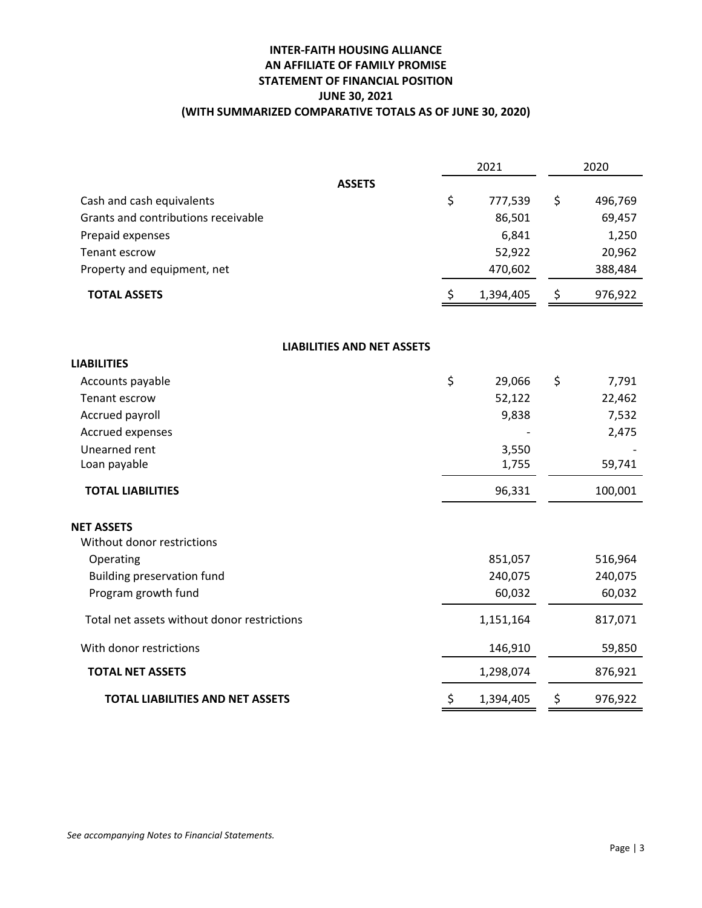## **INTER‐FAITH HOUSING ALLIANCE AN AFFILIATE OF FAMILY PROMISE STATEMENT OF FINANCIAL POSITION JUNE 30, 2021 (WITH SUMMARIZED COMPARATIVE TOTALS AS OF JUNE 30, 2020)**

|                                             |    | 2021      |    | 2020    |  |  |
|---------------------------------------------|----|-----------|----|---------|--|--|
| <b>ASSETS</b>                               |    |           |    |         |  |  |
| Cash and cash equivalents                   | \$ | 777,539   | \$ | 496,769 |  |  |
| Grants and contributions receivable         |    | 86,501    |    | 69,457  |  |  |
| Prepaid expenses                            |    | 6,841     |    | 1,250   |  |  |
| Tenant escrow                               |    | 52,922    |    | 20,962  |  |  |
| Property and equipment, net                 |    | 470,602   |    | 388,484 |  |  |
| <b>TOTAL ASSETS</b>                         | \$ | 1,394,405 | \$ | 976,922 |  |  |
| <b>LIABILITIES AND NET ASSETS</b>           |    |           |    |         |  |  |
| <b>LIABILITIES</b>                          |    |           |    |         |  |  |
| Accounts payable                            | \$ | 29,066    | \$ | 7,791   |  |  |
| Tenant escrow                               |    | 52,122    |    | 22,462  |  |  |
| Accrued payroll                             |    | 9,838     |    | 7,532   |  |  |
| Accrued expenses                            |    |           |    | 2,475   |  |  |
| Unearned rent                               |    | 3,550     |    |         |  |  |
| Loan payable                                |    | 1,755     |    | 59,741  |  |  |
| <b>TOTAL LIABILITIES</b>                    |    | 96,331    |    | 100,001 |  |  |
| <b>NET ASSETS</b>                           |    |           |    |         |  |  |
| Without donor restrictions                  |    |           |    |         |  |  |
| Operating                                   |    | 851,057   |    | 516,964 |  |  |
| <b>Building preservation fund</b>           |    | 240,075   |    | 240,075 |  |  |
| Program growth fund                         |    | 60,032    |    | 60,032  |  |  |
| Total net assets without donor restrictions |    | 1,151,164 |    | 817,071 |  |  |
| With donor restrictions                     |    | 146,910   |    | 59,850  |  |  |
| <b>TOTAL NET ASSETS</b>                     |    | 1,298,074 |    | 876,921 |  |  |
| <b>TOTAL LIABILITIES AND NET ASSETS</b>     | \$ | 1,394,405 | \$ | 976,922 |  |  |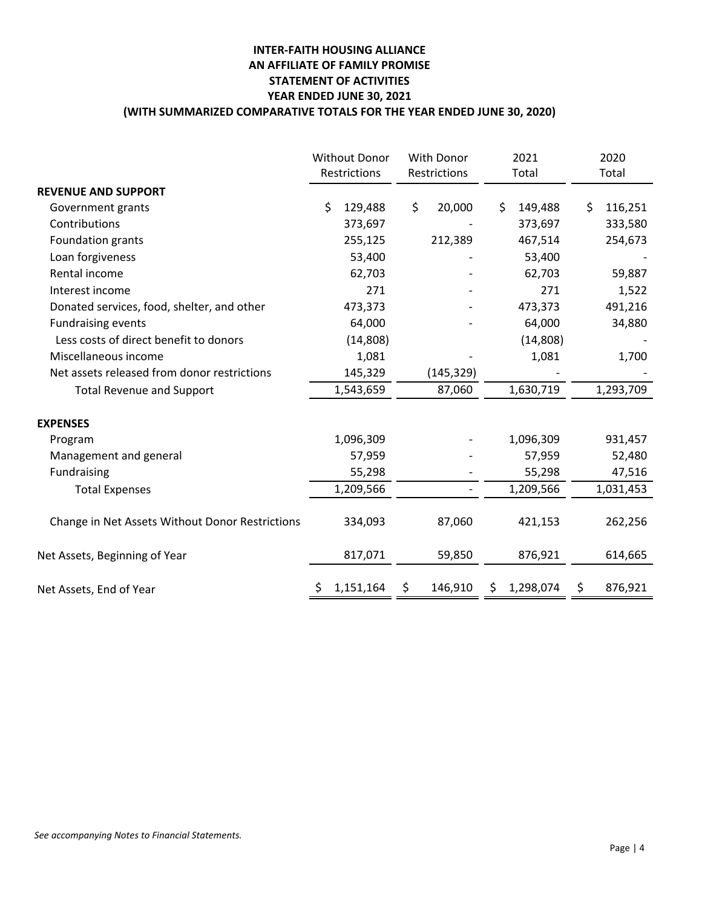## **INTER‐FAITH HOUSING ALLIANCE AN AFFILIATE OF FAMILY PROMISE STATEMENT OF ACTIVITIES YEAR ENDED JUNE 30, 2021 (WITH SUMMARIZED COMPARATIVE TOTALS FOR THE YEAR ENDED JUNE 30, 2020)**

|                                                 | <b>Without Donor</b><br>Restrictions | With Donor<br>Restrictions | 2021<br>Total  | 2020<br>Total |
|-------------------------------------------------|--------------------------------------|----------------------------|----------------|---------------|
| <b>REVENUE AND SUPPORT</b>                      |                                      |                            |                |               |
| Government grants                               | \$<br>129,488                        | \$<br>20,000               | \$<br>149,488  | 116,251<br>\$ |
| Contributions                                   | 373,697                              |                            | 373,697        | 333,580       |
| Foundation grants                               | 255,125                              | 212,389                    | 467,514        | 254,673       |
| Loan forgiveness                                | 53,400                               |                            | 53,400         |               |
| Rental income                                   | 62,703                               |                            | 62,703         | 59,887        |
| Interest income                                 | 271                                  |                            | 271            | 1,522         |
| Donated services, food, shelter, and other      | 473,373                              |                            | 473,373        | 491,216       |
| <b>Fundraising events</b>                       | 64,000                               |                            | 64,000         | 34,880        |
| Less costs of direct benefit to donors          | (14, 808)                            |                            | (14, 808)      |               |
| Miscellaneous income                            | 1,081                                |                            | 1,081          | 1,700         |
| Net assets released from donor restrictions     | 145,329                              | (145, 329)                 |                |               |
| <b>Total Revenue and Support</b>                | 1,543,659                            | 87,060                     | 1,630,719      | 1,293,709     |
| <b>EXPENSES</b>                                 |                                      |                            |                |               |
| Program                                         | 1,096,309                            |                            | 1,096,309      | 931,457       |
| Management and general                          | 57,959                               |                            | 57,959         | 52,480        |
| Fundraising                                     | 55,298                               |                            | 55,298         | 47,516        |
| <b>Total Expenses</b>                           | 1,209,566                            |                            | 1,209,566      | 1,031,453     |
| Change in Net Assets Without Donor Restrictions | 334,093                              | 87,060                     | 421,153        | 262,256       |
| Net Assets, Beginning of Year                   | 817,071                              | 59,850                     | 876,921        | 614,665       |
| Net Assets, End of Year                         | 1,151,164<br>S                       | 146,910<br>Ş               | 1,298,074<br>S | 876,921<br>\$ |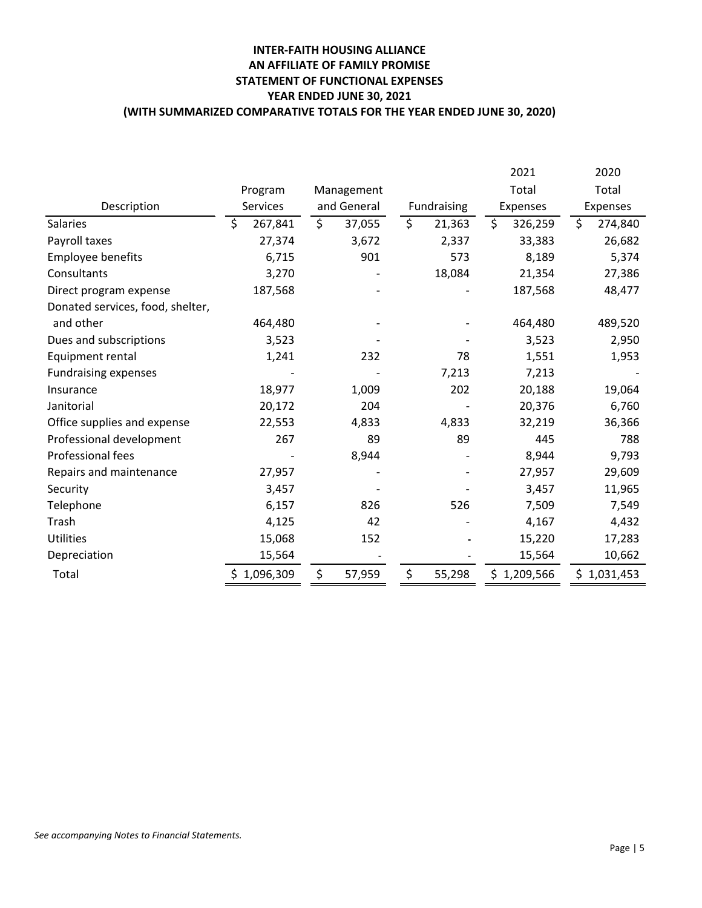## **INTER‐FAITH HOUSING ALLIANCE AN AFFILIATE OF FAMILY PROMISE STATEMENT OF FUNCTIONAL EXPENSES YEAR ENDED JUNE 30, 2021 (WITH SUMMARIZED COMPARATIVE TOTALS FOR THE YEAR ENDED JUNE 30, 2020)**

|                                  |                 |                                   |                                   | 2021            | 2020                               |
|----------------------------------|-----------------|-----------------------------------|-----------------------------------|-----------------|------------------------------------|
|                                  | Program         | Management                        |                                   | Total           | Total                              |
| Description                      | <b>Services</b> | and General                       | Fundraising                       | Expenses        | Expenses                           |
| <b>Salaries</b>                  | \$<br>267,841   | $\overline{\mathsf{S}}$<br>37,055 | $\overline{\mathsf{S}}$<br>21,363 | \$<br>326,259   | $\overline{\mathsf{S}}$<br>274,840 |
| Payroll taxes                    | 27,374          | 3,672                             | 2,337                             | 33,383          | 26,682                             |
| <b>Employee benefits</b>         | 6,715           | 901                               | 573                               | 8,189           | 5,374                              |
| Consultants                      | 3,270           |                                   | 18,084                            | 21,354          | 27,386                             |
| Direct program expense           | 187,568         |                                   |                                   | 187,568         | 48,477                             |
| Donated services, food, shelter, |                 |                                   |                                   |                 |                                    |
| and other                        | 464,480         |                                   |                                   | 464,480         | 489,520                            |
| Dues and subscriptions           | 3,523           |                                   |                                   | 3,523           | 2,950                              |
| Equipment rental                 | 1,241           | 232                               | 78                                | 1,551           | 1,953                              |
| <b>Fundraising expenses</b>      |                 |                                   | 7,213                             | 7,213           |                                    |
| Insurance                        | 18,977          | 1,009                             | 202                               | 20,188          | 19,064                             |
| Janitorial                       | 20,172          | 204                               |                                   | 20,376          | 6,760                              |
| Office supplies and expense      | 22,553          | 4,833                             | 4,833                             | 32,219          | 36,366                             |
| Professional development         | 267             | 89                                | 89                                | 445             | 788                                |
| Professional fees                |                 | 8,944                             |                                   | 8,944           | 9,793                              |
| Repairs and maintenance          | 27,957          |                                   |                                   | 27,957          | 29,609                             |
| Security                         | 3,457           |                                   |                                   | 3,457           | 11,965                             |
| Telephone                        | 6,157           | 826                               | 526                               | 7,509           | 7,549                              |
| Trash                            | 4,125           | 42                                |                                   | 4,167           | 4,432                              |
| <b>Utilities</b>                 | 15,068          | 152                               |                                   | 15,220          | 17,283                             |
| Depreciation                     | 15,564          |                                   |                                   | 15,564          | 10,662                             |
| Total                            | 1,096,309<br>\$ | \$<br>57,959                      | \$<br>55,298                      | 1,209,566<br>\$ | \$1,031,453                        |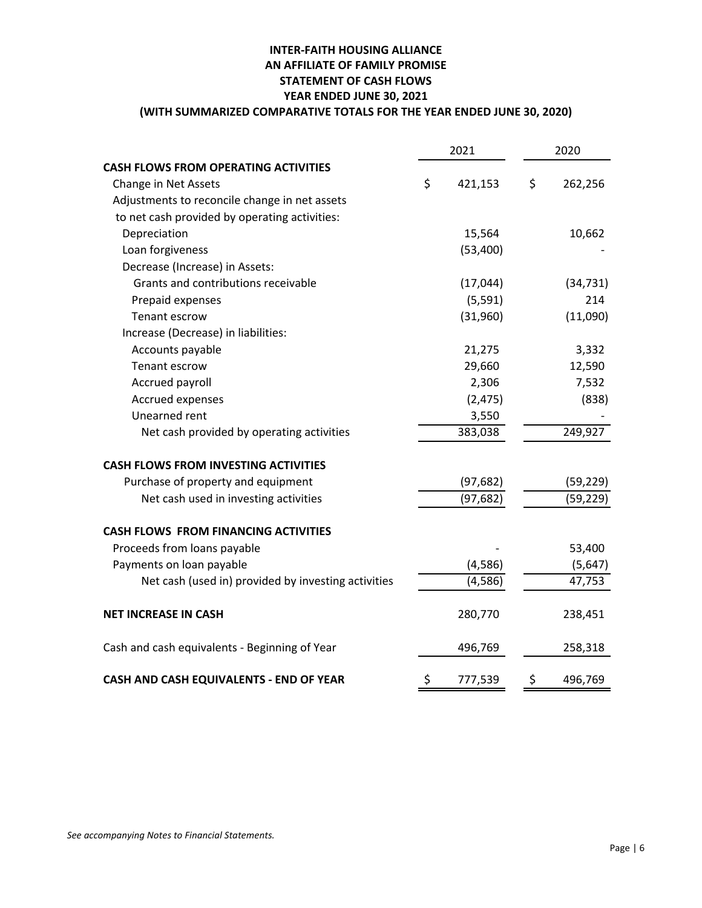## **INTER‐FAITH HOUSING ALLIANCE AN AFFILIATE OF FAMILY PROMISE STATEMENT OF CASH FLOWS YEAR ENDED JUNE 30, 2021**

# **(WITH SUMMARIZED COMPARATIVE TOTALS FOR THE YEAR ENDED JUNE 30, 2020)**

|                                                     | 2021 |           | 2020 |           |
|-----------------------------------------------------|------|-----------|------|-----------|
| <b>CASH FLOWS FROM OPERATING ACTIVITIES</b>         |      |           |      |           |
| Change in Net Assets                                | \$   | 421,153   | \$   | 262,256   |
| Adjustments to reconcile change in net assets       |      |           |      |           |
| to net cash provided by operating activities:       |      |           |      |           |
| Depreciation                                        |      | 15,564    |      | 10,662    |
| Loan forgiveness                                    |      | (53, 400) |      |           |
| Decrease (Increase) in Assets:                      |      |           |      |           |
| Grants and contributions receivable                 |      | (17, 044) |      | (34, 731) |
| Prepaid expenses                                    |      | (5, 591)  |      | 214       |
| Tenant escrow                                       |      | (31,960)  |      | (11,090)  |
| Increase (Decrease) in liabilities:                 |      |           |      |           |
| Accounts payable                                    |      | 21,275    |      | 3,332     |
| Tenant escrow                                       |      | 29,660    |      | 12,590    |
| Accrued payroll                                     |      | 2,306     |      | 7,532     |
| Accrued expenses                                    |      | (2, 475)  |      | (838)     |
| Unearned rent                                       |      | 3,550     |      |           |
| Net cash provided by operating activities           |      | 383,038   |      | 249,927   |
| <b>CASH FLOWS FROM INVESTING ACTIVITIES</b>         |      |           |      |           |
| Purchase of property and equipment                  |      | (97, 682) |      | (59, 229) |
| Net cash used in investing activities               |      | (97, 682) |      | (59, 229) |
| <b>CASH FLOWS FROM FINANCING ACTIVITIES</b>         |      |           |      |           |
| Proceeds from loans payable                         |      |           |      | 53,400    |
| Payments on loan payable                            |      | (4,586)   |      | (5,647)   |
| Net cash (used in) provided by investing activities |      | (4, 586)  |      | 47,753    |
| <b>NET INCREASE IN CASH</b>                         |      | 280,770   |      | 238,451   |
| Cash and cash equivalents - Beginning of Year       |      | 496,769   |      | 258,318   |
| CASH AND CASH EQUIVALENTS - END OF YEAR             | \$   | 777,539   | \$   | 496,769   |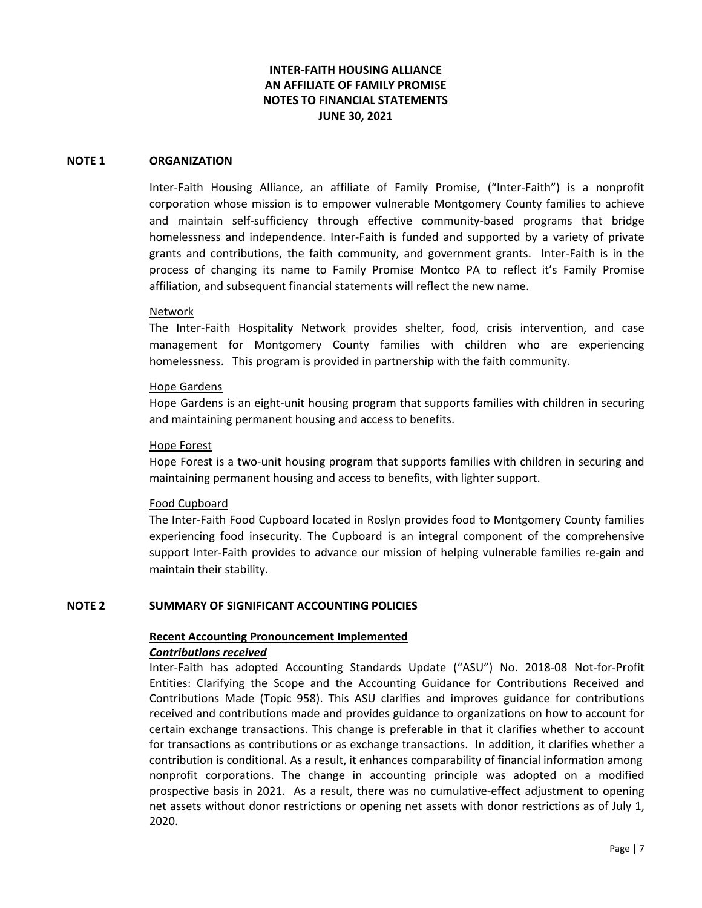#### **NOTE 1 ORGANIZATION**

Inter‐Faith Housing Alliance, an affiliate of Family Promise, ("Inter‐Faith") is a nonprofit corporation whose mission is to empower vulnerable Montgomery County families to achieve and maintain self-sufficiency through effective community-based programs that bridge homelessness and independence. Inter‐Faith is funded and supported by a variety of private grants and contributions, the faith community, and government grants. Inter‐Faith is in the process of changing its name to Family Promise Montco PA to reflect it's Family Promise affiliation, and subsequent financial statements will reflect the new name.

#### Network

The Inter‐Faith Hospitality Network provides shelter, food, crisis intervention, and case management for Montgomery County families with children who are experiencing homelessness. This program is provided in partnership with the faith community.

#### Hope Gardens

Hope Gardens is an eight-unit housing program that supports families with children in securing and maintaining permanent housing and access to benefits.

#### Hope Forest

Hope Forest is a two-unit housing program that supports families with children in securing and maintaining permanent housing and access to benefits, with lighter support.

#### Food Cupboard

The Inter‐Faith Food Cupboard located in Roslyn provides food to Montgomery County families experiencing food insecurity. The Cupboard is an integral component of the comprehensive support Inter‐Faith provides to advance our mission of helping vulnerable families re‐gain and maintain their stability.

### **NOTE 2 SUMMARY OF SIGNIFICANT ACCOUNTING POLICIES**

### **Recent Accounting Pronouncement Implemented**  *Contributions received*

Inter-Faith has adopted Accounting Standards Update ("ASU") No. 2018-08 Not-for-Profit Entities: Clarifying the Scope and the Accounting Guidance for Contributions Received and Contributions Made (Topic 958). This ASU clarifies and improves guidance for contributions received and contributions made and provides guidance to organizations on how to account for certain exchange transactions. This change is preferable in that it clarifies whether to account for transactions as contributions or as exchange transactions. In addition, it clarifies whether a contribution is conditional. As a result, it enhances comparability of financial information among nonprofit corporations. The change in accounting principle was adopted on a modified prospective basis in 2021. As a result, there was no cumulative‐effect adjustment to opening net assets without donor restrictions or opening net assets with donor restrictions as of July 1, 2020.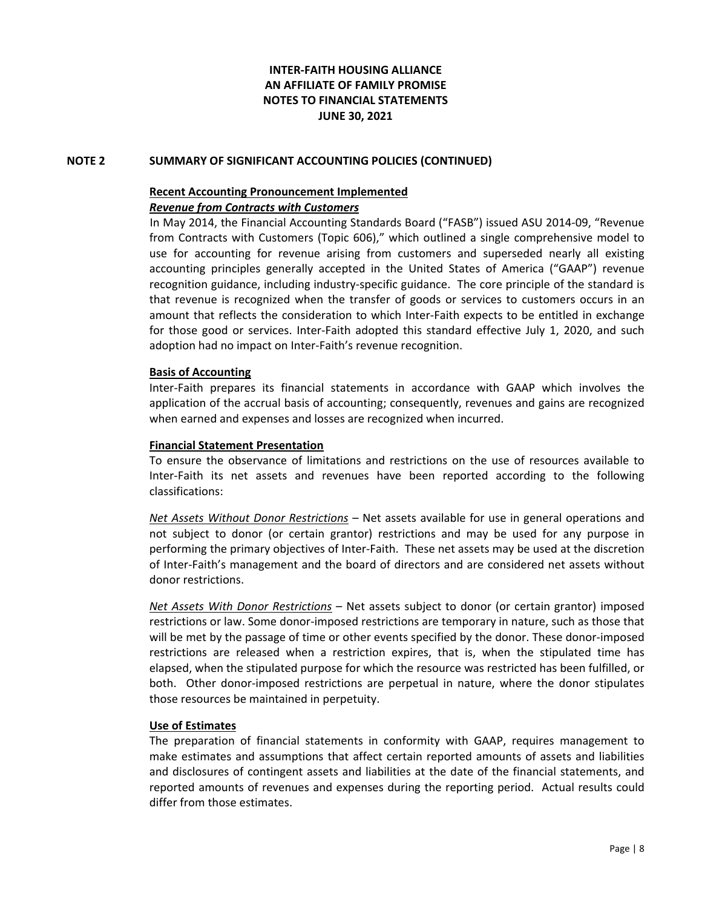### **NOTE 2 SUMMARY OF SIGNIFICANT ACCOUNTING POLICIES (CONTINUED)**

## **Recent Accounting Pronouncement Implemented**   *Revenue from Contracts with Customers*

 In May 2014, the Financial Accounting Standards Board ("FASB") issued ASU 2014‐09, "Revenue from Contracts with Customers (Topic 606)," which outlined a single comprehensive model to use for accounting for revenue arising from customers and superseded nearly all existing accounting principles generally accepted in the United States of America ("GAAP") revenue recognition guidance, including industry‐specific guidance. The core principle of the standard is that revenue is recognized when the transfer of goods or services to customers occurs in an amount that reflects the consideration to which Inter-Faith expects to be entitled in exchange for those good or services. Inter‐Faith adopted this standard effective July 1, 2020, and such adoption had no impact on Inter‐Faith's revenue recognition.

### **Basis of Accounting**

Inter‐Faith prepares its financial statements in accordance with GAAP which involves the application of the accrual basis of accounting; consequently, revenues and gains are recognized when earned and expenses and losses are recognized when incurred.

### **Financial Statement Presentation**

To ensure the observance of limitations and restrictions on the use of resources available to Inter‐Faith its net assets and revenues have been reported according to the following classifications:

 *Net Assets Without Donor Restrictions* – Net assets available for use in general operations and not subject to donor (or certain grantor) restrictions and may be used for any purpose in performing the primary objectives of Inter‐Faith. These net assets may be used at the discretion of Inter‐Faith's management and the board of directors and are considered net assets without donor restrictions.

*Net Assets With Donor Restrictions* – Net assets subject to donor (or certain grantor) imposed restrictions or law. Some donor‐imposed restrictions are temporary in nature, such as those that will be met by the passage of time or other events specified by the donor. These donor-imposed restrictions are released when a restriction expires, that is, when the stipulated time has elapsed, when the stipulated purpose for which the resource was restricted has been fulfilled, or both. Other donor‐imposed restrictions are perpetual in nature, where the donor stipulates those resources be maintained in perpetuity.

### **Use of Estimates**

The preparation of financial statements in conformity with GAAP, requires management to make estimates and assumptions that affect certain reported amounts of assets and liabilities and disclosures of contingent assets and liabilities at the date of the financial statements, and reported amounts of revenues and expenses during the reporting period. Actual results could differ from those estimates.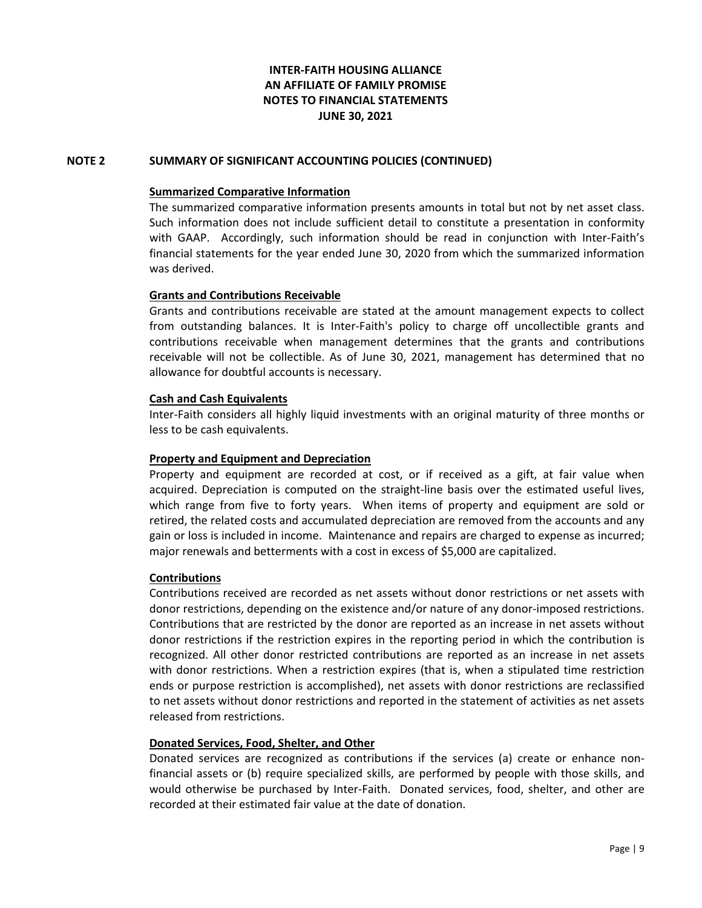### **NOTE 2 SUMMARY OF SIGNIFICANT ACCOUNTING POLICIES (CONTINUED)**

### **Summarized Comparative Information**

 The summarized comparative information presents amounts in total but not by net asset class. Such information does not include sufficient detail to constitute a presentation in conformity with GAAP. Accordingly, such information should be read in conjunction with Inter-Faith's financial statements for the year ended June 30, 2020 from which the summarized information was derived.

### **Grants and Contributions Receivable**

Grants and contributions receivable are stated at the amount management expects to collect from outstanding balances. It is Inter‐Faith's policy to charge off uncollectible grants and contributions receivable when management determines that the grants and contributions receivable will not be collectible. As of June 30, 2021, management has determined that no allowance for doubtful accounts is necessary.

### **Cash and Cash Equivalents**

Inter‐Faith considers all highly liquid investments with an original maturity of three months or less to be cash equivalents.

### **Property and Equipment and Depreciation**

Property and equipment are recorded at cost, or if received as a gift, at fair value when acquired. Depreciation is computed on the straight‐line basis over the estimated useful lives, which range from five to forty years. When items of property and equipment are sold or retired, the related costs and accumulated depreciation are removed from the accounts and any gain or loss is included in income. Maintenance and repairs are charged to expense as incurred; major renewals and betterments with a cost in excess of \$5,000 are capitalized.

### **Contributions**

Contributions received are recorded as net assets without donor restrictions or net assets with donor restrictions, depending on the existence and/or nature of any donor‐imposed restrictions. Contributions that are restricted by the donor are reported as an increase in net assets without donor restrictions if the restriction expires in the reporting period in which the contribution is recognized. All other donor restricted contributions are reported as an increase in net assets with donor restrictions. When a restriction expires (that is, when a stipulated time restriction ends or purpose restriction is accomplished), net assets with donor restrictions are reclassified to net assets without donor restrictions and reported in the statement of activities as net assets released from restrictions.

### **Donated Services, Food, Shelter, and Other**

 Donated services are recognized as contributions if the services (a) create or enhance non‐ financial assets or (b) require specialized skills, are performed by people with those skills, and would otherwise be purchased by Inter‐Faith. Donated services, food, shelter, and other are recorded at their estimated fair value at the date of donation.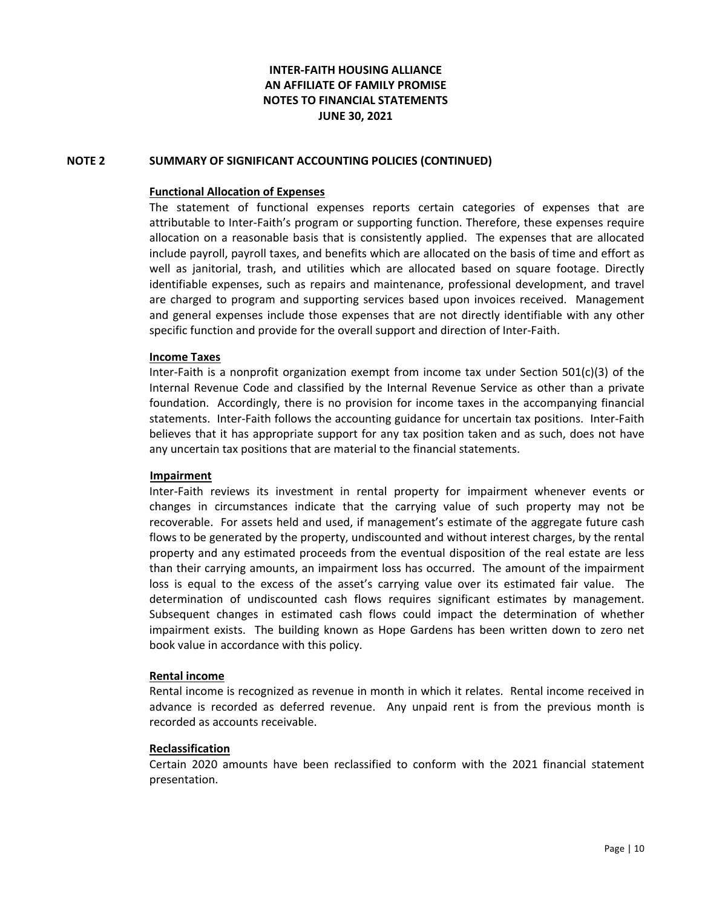### **NOTE 2 SUMMARY OF SIGNIFICANT ACCOUNTING POLICIES (CONTINUED)**

### **Functional Allocation of Expenses**

The statement of functional expenses reports certain categories of expenses that are attributable to Inter‐Faith's program or supporting function. Therefore, these expenses require allocation on a reasonable basis that is consistently applied. The expenses that are allocated include payroll, payroll taxes, and benefits which are allocated on the basis of time and effort as well as janitorial, trash, and utilities which are allocated based on square footage. Directly identifiable expenses, such as repairs and maintenance, professional development, and travel are charged to program and supporting services based upon invoices received. Management and general expenses include those expenses that are not directly identifiable with any other specific function and provide for the overall support and direction of Inter‐Faith.

### **Income Taxes**

Inter-Faith is a nonprofit organization exempt from income tax under Section 501(c)(3) of the Internal Revenue Code and classified by the Internal Revenue Service as other than a private foundation. Accordingly, there is no provision for income taxes in the accompanying financial statements. Inter‐Faith follows the accounting guidance for uncertain tax positions. Inter‐Faith believes that it has appropriate support for any tax position taken and as such, does not have any uncertain tax positions that are material to the financial statements.

### **Impairment**

 Inter‐Faith reviews its investment in rental property for impairment whenever events or changes in circumstances indicate that the carrying value of such property may not be recoverable. For assets held and used, if management's estimate of the aggregate future cash flows to be generated by the property, undiscounted and without interest charges, by the rental property and any estimated proceeds from the eventual disposition of the real estate are less than their carrying amounts, an impairment loss has occurred. The amount of the impairment loss is equal to the excess of the asset's carrying value over its estimated fair value. The determination of undiscounted cash flows requires significant estimates by management. Subsequent changes in estimated cash flows could impact the determination of whether impairment exists. The building known as Hope Gardens has been written down to zero net book value in accordance with this policy.

### **Rental income**

 Rental income is recognized as revenue in month in which it relates. Rental income received in advance is recorded as deferred revenue. Any unpaid rent is from the previous month is recorded as accounts receivable.

### **Reclassification**

 Certain 2020 amounts have been reclassified to conform with the 2021 financial statement presentation.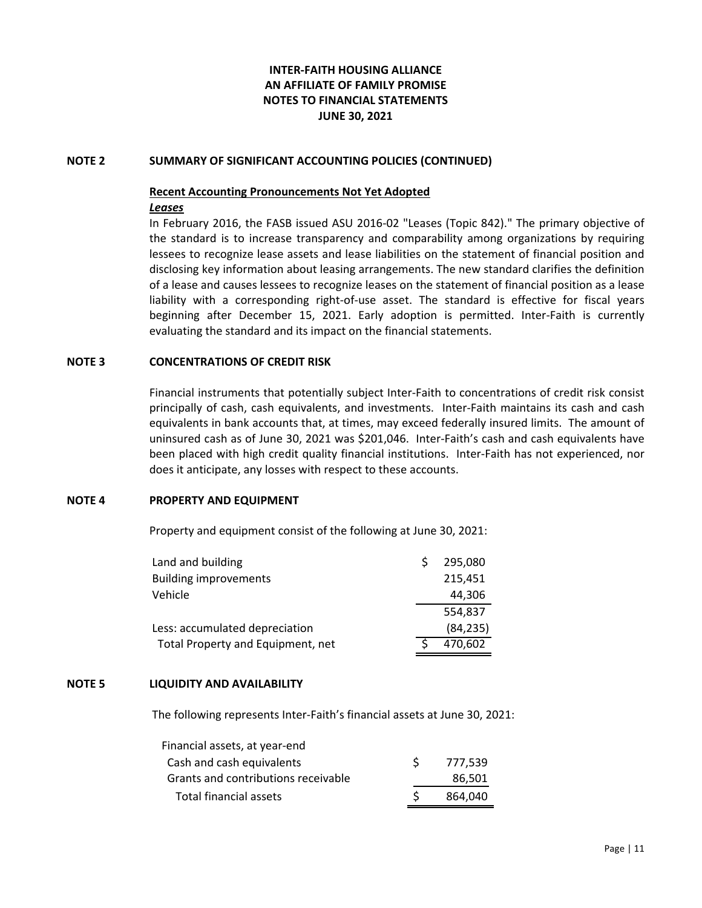### **NOTE 2 SUMMARY OF SIGNIFICANT ACCOUNTING POLICIES (CONTINUED)**

### **Recent Accounting Pronouncements Not Yet Adopted** *Leases*

In February 2016, the FASB issued ASU 2016‐02 "Leases (Topic 842)." The primary objective of the standard is to increase transparency and comparability among organizations by requiring lessees to recognize lease assets and lease liabilities on the statement of financial position and disclosing key information about leasing arrangements. The new standard clarifies the definition of a lease and causes lessees to recognize leases on the statement of financial position as a lease liability with a corresponding right‐of‐use asset. The standard is effective for fiscal years beginning after December 15, 2021. Early adoption is permitted. Inter‐Faith is currently evaluating the standard and its impact on the financial statements.

## **NOTE 3 CONCENTRATIONS OF CREDIT RISK**

Financial instruments that potentially subject Inter‐Faith to concentrations of credit risk consist principally of cash, cash equivalents, and investments. Inter‐Faith maintains its cash and cash equivalents in bank accounts that, at times, may exceed federally insured limits. The amount of uninsured cash as of June 30, 2021 was \$201,046. Inter‐Faith's cash and cash equivalents have been placed with high credit quality financial institutions. Inter-Faith has not experienced, nor does it anticipate, any losses with respect to these accounts.

### **NOTE 4 PROPERTY AND EQUIPMENT**

 Property and equipment consist of the following at June 30, 2021:

| Land and building                 | 295,080   |
|-----------------------------------|-----------|
| <b>Building improvements</b>      | 215,451   |
| Vehicle                           | 44,306    |
|                                   | 554,837   |
| Less: accumulated depreciation    | (84, 235) |
| Total Property and Equipment, net | 470.602   |

### **NOTE 5 LIQUIDITY AND AVAILABILITY**

The following represents Inter‐Faith's financial assets at June 30, 2021:

| Financial assets, at year-end       |         |
|-------------------------------------|---------|
| Cash and cash equivalents           | 777.539 |
| Grants and contributions receivable | 86,501  |
| Total financial assets              | 864.040 |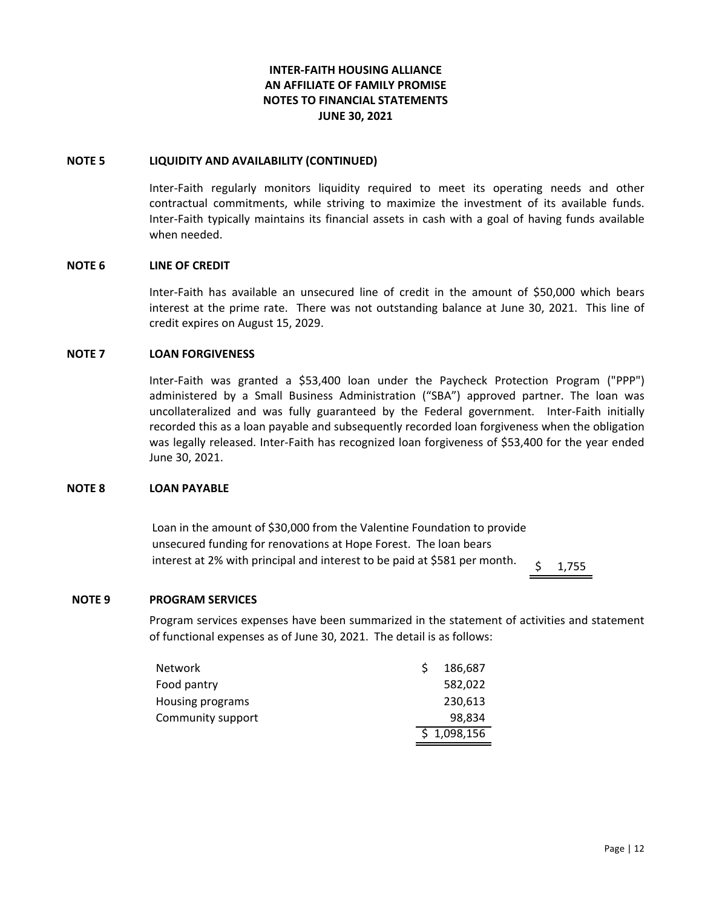### **NOTE 5 LIQUIDITY AND AVAILABILITY (CONTINUED)**

Inter-Faith regularly monitors liquidity required to meet its operating needs and other contractual commitments, while striving to maximize the investment of its available funds. Inter‐Faith typically maintains its financial assets in cash with a goal of having funds available when needed.

#### **NOTE 6 LINE OF CREDIT**

Inter‐Faith has available an unsecured line of credit in the amount of \$50,000 which bears interest at the prime rate. There was not outstanding balance at June 30, 2021. This line of credit expires on August 15, 2029.

#### **NOTE 7 LOAN FORGIVENESS**

Inter-Faith was granted a \$53,400 loan under the Paycheck Protection Program ("PPP") administered by a Small Business Administration ("SBA") approved partner. The loan was uncollateralized and was fully guaranteed by the Federal government. Inter‐Faith initially recorded this as a loan payable and subsequently recorded loan forgiveness when the obligation was legally released. Inter‐Faith has recognized loan forgiveness of \$53,400 for the year ended June 30, 2021.

#### **NOTE 8 LOAN PAYABLE**

Loan in the amount of \$30,000 from the Valentine Foundation to provide unsecured funding for renovations at Hope Forest. The loan bears interest at 2% with principal and interest to be paid at \$581 per month.

 $$ 1,755$ 

### **NOTE 9 PROGRAM SERVICES**

 Program services expenses have been summarized in the statement of activities and statement of functional expenses as of June 30, 2021. The detail is as follows:

| Network           | 186,687     |
|-------------------|-------------|
| Food pantry       | 582,022     |
| Housing programs  | 230,613     |
| Community support | 98,834      |
|                   | \$1,098,156 |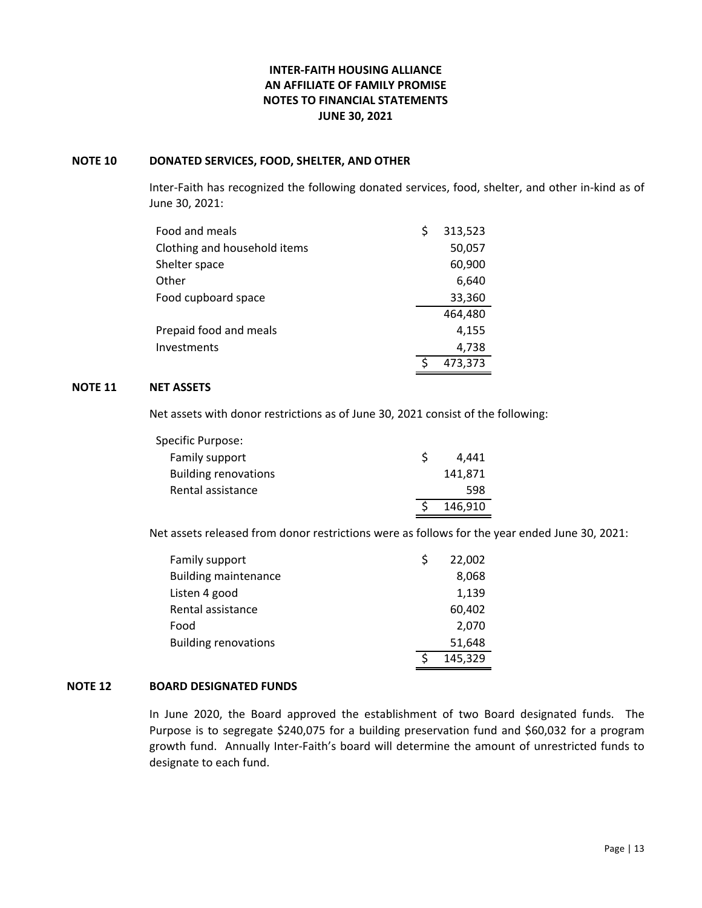### **NOTE 10 DONATED SERVICES, FOOD, SHELTER, AND OTHER**

Inter‐Faith has recognized the following donated services, food, shelter, and other in‐kind as of June 30, 2021:

| Food and meals               | \$<br>313,523 |
|------------------------------|---------------|
| Clothing and household items | 50,057        |
| Shelter space                | 60,900        |
| Other                        | 6,640         |
| Food cupboard space          | 33,360        |
|                              | 464,480       |
| Prepaid food and meals       | 4,155         |
| Investments                  | 4,738         |
|                              | 473,373       |

### **NOTE 11 NET ASSETS**

Net assets with donor restrictions as of June 30, 2021 consist of the following:

| Specific Purpose:           |         |
|-----------------------------|---------|
| Family support              | 4.441   |
| <b>Building renovations</b> | 141,871 |
| Rental assistance           | 598     |
|                             | 146,910 |
|                             |         |

Net assets released from donor restrictions were as follows for the year ended June 30, 2021:

| Family support              | S | 22,002  |
|-----------------------------|---|---------|
| <b>Building maintenance</b> |   | 8,068   |
| Listen 4 good               |   | 1,139   |
| Rental assistance           |   | 60,402  |
| Food                        |   | 2,070   |
| <b>Building renovations</b> |   | 51,648  |
|                             |   | 145,329 |

## **NOTE 12 BOARD DESIGNATED FUNDS**

In June 2020, the Board approved the establishment of two Board designated funds. The Purpose is to segregate \$240,075 for a building preservation fund and \$60,032 for a program growth fund. Annually Inter‐Faith's board will determine the amount of unrestricted funds to designate to each fund.